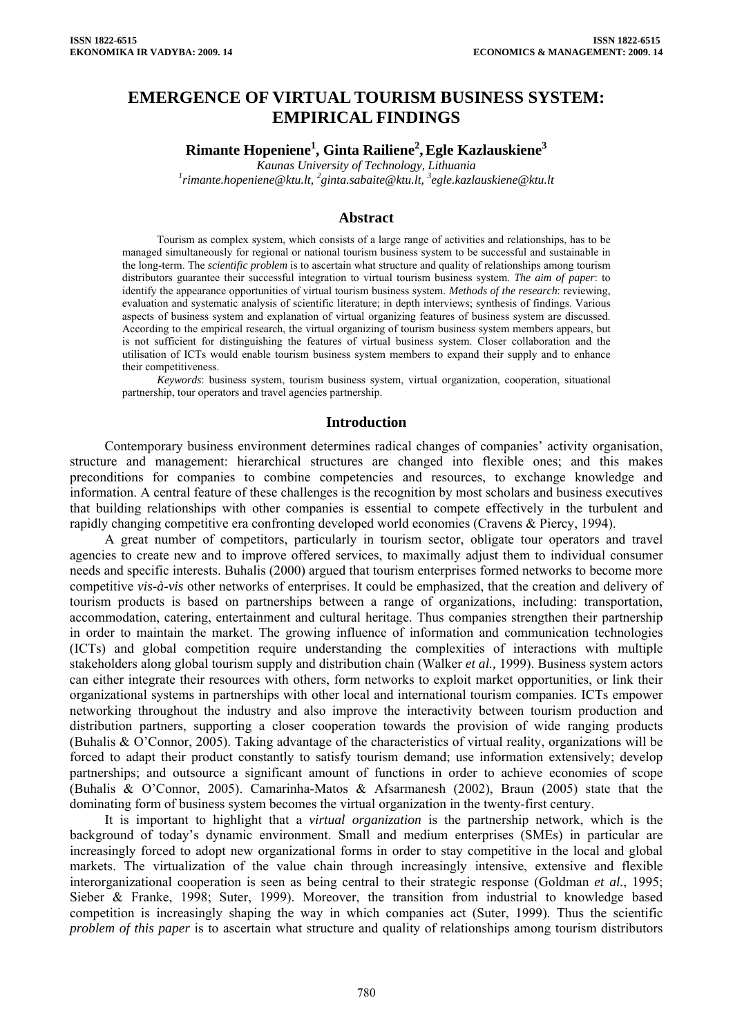# **EMERGENCE OF VIRTUAL TOURISM BUSINESS SYSTEM: EMPIRICAL FINDINGS**

**Rimante Hopeniene<sup>1</sup> , Ginta Railiene<sup>2</sup> ,Egle Kazlauskiene3**

*Kaunas Uni[v](mailto:2ginta.sabaite@ktu.lt)ersity of Technology, Lithuania [1](mailto:1rimante.hopeniene@ktu.lt) [rimante.hopeniene@ktu.lt,](mailto:1rimante.hopeniene@ktu.lt) 2 [ginta.sabaite@ktu.lt](mailto:2ginta.sabaite@ktu.lt), 3 egle.kazlauskiene@ktu.lt*

## **Abstract**

Tourism as complex system, which consists of a large range of activities and relationships, has to be managed simultaneously for regional or national tourism business system to be successful and sustainable in the long-term. The *scientific problem* is to ascertain what structure and quality of relationships among tourism distributors guarantee their successful integration to virtual tourism business system. *The aim of paper*: to identify the appearance opportunities of virtual tourism business system. *Methods of the research*: reviewing, evaluation and systematic analysis of scientific literature; in depth interviews; synthesis of findings. Various aspects of business system and explanation of virtual organizing features of business system are discussed. According to the empirical research, the virtual organizing of tourism business system members appears, but is not sufficient for distinguishing the features of virtual business system. Closer collaboration and the utilisation of ICTs would enable tourism business system members to expand their supply and to enhance their competitiveness.

*Keywords*: business system, tourism business system, virtual organization, cooperation, situational partnership, tour operators and travel agencies partnership.

# **Introduction**

Contemporary business environment determines radical changes of companies' activity organisation, structure and management: hierarchical structures are changed into flexible ones; and this makes preconditions for companies to combine competencies and resources, to exchange knowledge and information. A central feature of these challenges is the recognition by most scholars and business executives that building relationships with other companies is essential to compete effectively in the turbulent and rapidly changing competitive era confronting developed world economies (Cravens & Piercy, 1994).

A great number of competitors, particularly in tourism sector, obligate tour operators and travel agencies to create new and to improve offered services, to maximally adjust them to individual consumer needs and specific interests. Buhalis (2000) argued that tourism enterprises formed networks to become more competitive *vis-à-vis* other networks of enterprises. It could be emphasized, that the creation and delivery of tourism products is based on partnerships between a range of organizations, including: transportation, accommodation, catering, entertainment and cultural heritage. Thus companies strengthen their partnership in order to maintain the market. The growing influence of information and communication technologies (ICTs) and global competition require understanding the complexities of interactions with multiple stakeholders along global tourism supply and distribution chain (Walker *et al.,* 1999). Business system actors can either integrate their resources with others, form networks to exploit market opportunities, or link their organizational systems in partnerships with other local and international tourism companies. ICTs empower networking throughout the industry and also improve the interactivity between tourism production and distribution partners, supporting a closer cooperation towards the provision of wide ranging products (Buhalis & O'Connor, 2005). Taking advantage of the characteristics of virtual reality, organizations will be forced to adapt their product constantly to satisfy tourism demand; use information extensively; develop partnerships; and outsource a significant amount of functions in order to achieve economies of scope (Buhalis & O'Connor, 2005). Camarinha-Matos & Afsarmanesh (2002), Braun (2005) state that the dominating form of business system becomes the virtual organization in the twenty-first century.

It is important to highlight that a *virtual organization* is the partnership network, which is the background of today's dynamic environment. Small and medium enterprises (SMEs) in particular are increasingly forced to adopt new organizational forms in order to stay competitive in the local and global markets. The virtualization of the value chain through increasingly intensive, extensive and flexible interorganizational cooperation is seen as being central to their strategic response (Goldman *et al.*, 1995; Sieber & Franke, 1998; Suter, 1999). Moreover, the transition from industrial to knowledge based competition is increasingly shaping the way in which companies act (Suter, 1999). Thus the scientific *problem of this paper* is to ascertain what structure and quality of relationships among tourism distributors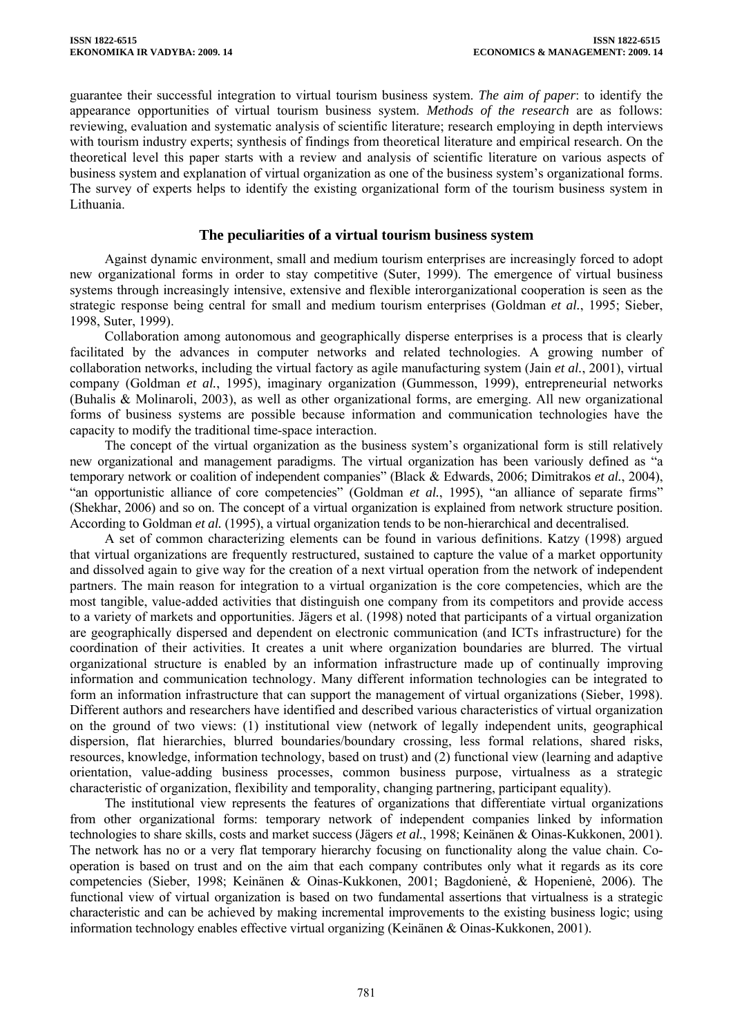guarantee their successful integration to virtual tourism business system. *The aim of paper*: to identify the appearance opportunities of virtual tourism business system. *Methods of the research* are as follows: reviewing, evaluation and systematic analysis of scientific literature; research employing in depth interviews with tourism industry experts; synthesis of findings from theoretical literature and empirical research. On the theoretical level this paper starts with a review and analysis of scientific literature on various aspects of business system and explanation of virtual organization as one of the business system's organizational forms. The survey of experts helps to identify the existing organizational form of the tourism business system in Lithuania.

# **The peculiarities of a virtual tourism business system**

Against dynamic environment, small and medium tourism enterprises are increasingly forced to adopt new organizational forms in order to stay competitive (Suter, 1999). The emergence of virtual business systems through increasingly intensive, extensive and flexible interorganizational cooperation is seen as the strategic response being central for small and medium tourism enterprises (Goldman *et al.*, 1995; Sieber, 1998, Suter, 1999).

Collaboration among autonomous and geographically disperse enterprises is a process that is clearly facilitated by the advances in computer networks and related technologies. A growing number of collaboration networks, including the virtual factory as agile manufacturing system (Jain *et al.*, 2001), virtual company (Goldman *et al.*, 1995), imaginary organization (Gummesson, 1999), entrepreneurial networks (Buhalis & Molinaroli, 2003), as well as other organizational forms, are emerging. All new organizational forms of business systems are possible because information and communication technologies have the capacity to modify the traditional time-space interaction.

The concept of the virtual organization as the business system's organizational form is still relatively new organizational and management paradigms. The virtual organization has been variously defined as "a temporary network or coalition of independent companies" (Black & Edwards, 2006; Dimitrakos *et al.*, 2004), "an opportunistic alliance of core competencies" [\(Goldman](http://www.emeraldinsight.com/Insight/ViewContentServlet;jsessionid=11A228796B1CFE1976F516AE1DBABB78?contentType=Article&Filename=Published/EmeraldFullTextArticle/Articles/0220270603.html#idb13#idb13) *et al.*, 1995), "an alliance of separate firms" (Shekhar, 2006) and so on. The concept of a virtual organization is explained from network structure position. According to Goldman *et al.* (1995), a virtual organization tends to be non-hierarchical and decentralised.

A set of common characterizing elements can be found in various definitions. Katzy (1998) argued that virtual organizations are frequently restructured, sustained to capture the value of a market opportunity and dissolved again to give way for the creation of a next virtual operation from the network of independent partners. The main reason for integration to a virtual organization is the core competencies, which are the most tangible, value-added activities that distinguish one company from its competitors and provide access to a variety of markets and opportunities. Jägers et al. (1998) noted that participants of a virtual organization are geographically dispersed and dependent on electronic communication (and ICTs infrastructure) for the coordination of their activities. It creates a unit where organization boundaries are blurred. The virtual organizational structure is enabled by an information infrastructure made up of continually improving information and communication technology. Many different information technologies can be integrated to form an information infrastructure that can support the management of virtual organizations (Sieber, 1998). Different authors and researchers have identified and described various characteristics of virtual organization on the ground of two views: (1) institutional view (network of legally independent units, geographical dispersion, flat hierarchies, blurred boundaries/boundary crossing, less formal relations, shared risks, resources, knowledge, information technology, based on trust) and (2) functional view (learning and adaptive orientation, value-adding business processes, common business purpose, virtualness as a strategic characteristic of organization, flexibility and temporality, changing partnering, participant equality).

The institutional view represents the features of organizations that differentiate virtual organizations from other organizational forms: temporary network of independent companies linked by information technologies to share skills, costs and market success (Jägers *et al.*, 1998; Keinänen & Oinas-Kukkonen, 2001). The network has no or a very flat temporary hierarchy focusing on functionality along the value chain. Cooperation is based on trust and on the aim that each company contributes only what it regards as its core competencies (Sieber, 1998; Keinänen & Oinas-Kukkonen, 2001; Bagdonienė, & Hopenienė, 2006). The functional view of virtual organization is based on two fundamental assertions that virtualness is a strategic characteristic and can be achieved by making incremental improvements to the existing business logic; using information technology enables effective virtual organizing (Keinänen & Oinas-Kukkonen, 2001).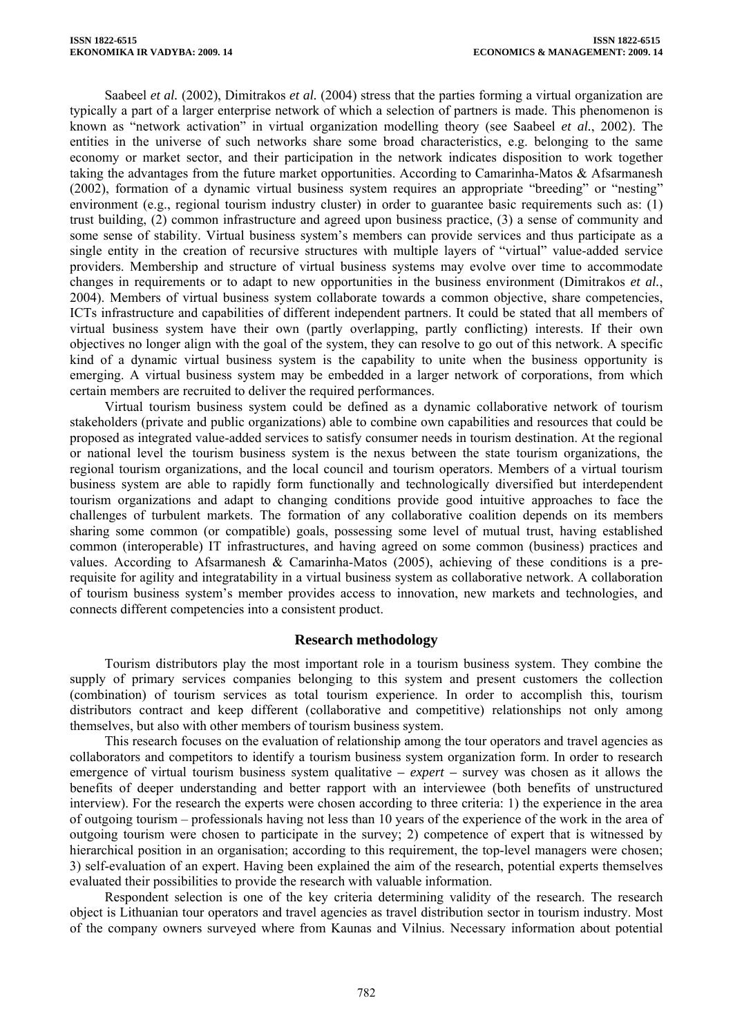Saabeel *et al.* (2002), Dimitrakos *et al.* (2004) stress that the parties forming a virtual organization are typically a part of a larger enterprise network of which a selection of partners is made. This phenomenon is known as "network activation" in virtual organization modelling theory (see Saabeel *et al.*, 2002). The entities in the universe of such networks share some broad characteristics, e.g. belonging to the same economy or market sector, and their participation in the network indicates disposition to work together taking the advantages from the future market opportunities. According to Camarinha-Matos & Afsarmanesh (2002), formation of a dynamic virtual business system requires an appropriate "breeding" or "nesting" environment (e.g., regional tourism industry cluster) in order to guarantee basic requirements such as: (1) trust building, (2) common infrastructure and agreed upon business practice, (3) a sense of community and some sense of stability. Virtual business system's members can provide services and thus participate as a single entity in the creation of recursive structures with multiple layers of "virtual" value-added service providers. Membership and structure of virtual business systems may evolve over time to accommodate changes in requirements or to adapt to new opportunities in the business environment (Dimitrakos *et al.*, 2004). Members of virtual business system collaborate towards a common objective, share competencies, ICTs infrastructure and capabilities of different independent partners. It could be stated that all members of virtual business system have their own (partly overlapping, partly conflicting) interests. If their own objectives no longer align with the goal of the system, they can resolve to go out of this network. A specific kind of a dynamic virtual business system is the capability to unite when the business opportunity is emerging. A virtual business system may be embedded in a larger network of corporations, from which certain members are recruited to deliver the required performances.

Virtual tourism business system could be defined as a dynamic collaborative network of tourism stakeholders (private and public organizations) able to combine own capabilities and resources that could be proposed as integrated value-added services to satisfy consumer needs in tourism destination. At the regional or national level the tourism business system is the nexus between the state tourism organizations, the regional tourism organizations, and the local council and tourism operators. Members of a virtual tourism business system are able to rapidly form functionally and technologically diversified but interdependent tourism organizations and adapt to changing conditions provide good intuitive approaches to face the challenges of turbulent markets. The formation of any collaborative coalition depends on its members sharing some common (or compatible) goals, possessing some level of mutual trust, having established common (interoperable) IT infrastructures, and having agreed on some common (business) practices and values. According to Afsarmanesh & Camarinha-Matos (2005), achieving of these conditions is a prerequisite for agility and integratability in a virtual business system as collaborative network. A collaboration of tourism business system's member provides access to innovation, new markets and technologies, and connects different competencies into a consistent product.

#### **Research methodology**

Tourism distributors play the most important role in a tourism business system. They combine the supply of primary services companies belonging to this system and present customers the collection (combination) of tourism services as total tourism experience. In order to accomplish this, tourism distributors contract and keep different (collaborative and competitive) relationships not only among themselves, but also with other members of tourism business system.

This research focuses on the evaluation of relationship among the tour operators and travel agencies as collaborators and competitors to identify a tourism business system organization form. In order to research emergence of virtual tourism business system qualitative *– expert –* survey was chosen as it allows the benefits of deeper understanding and better rapport with an interviewee (both benefits of unstructured interview). For the research the experts were chosen according to three criteria: 1) the experience in the area of outgoing tourism – professionals having not less than 10 years of the experience of the work in the area of outgoing tourism were chosen to participate in the survey; 2) competence of expert that is witnessed by hierarchical position in an organisation; according to this requirement, the top-level managers were chosen; 3) self-evaluation of an expert. Having been explained the aim of the research, potential experts themselves evaluated their possibilities to provide the research with valuable information.

Respondent selection is one of the key criteria determining validity of the research. The research object is Lithuanian tour operators and travel agencies as travel distribution sector in tourism industry. Most of the company owners surveyed where from Kaunas and Vilnius. Necessary information about potential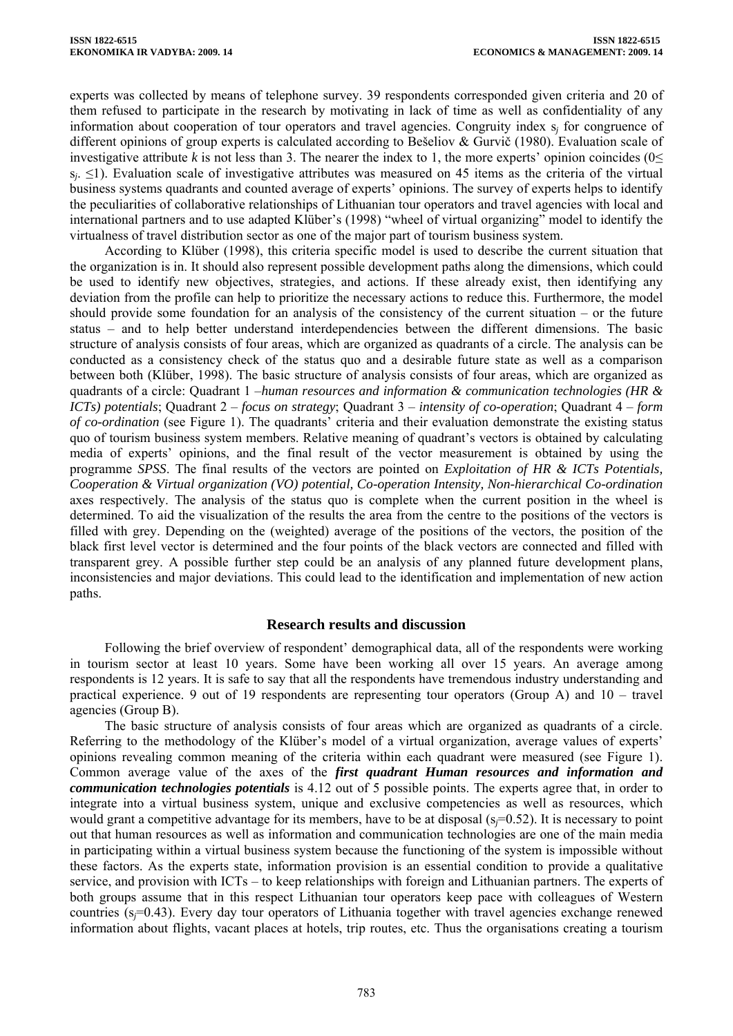experts was collected by means of telephone survey. 39 respondents corresponded given criteria and 20 of them refused to participate in the research by motivating in lack of time as well as confidentiality of any information about cooperation of tour operators and travel agencies. Congruity index s*j* for congruence of different opinions of group experts is calculated according to Bešeliov & Gurvič (1980). Evaluation scale of investigative attribute *k* is not less than 3. The nearer the index to 1, the more experts' opinion coincides ( $0 \le$ s<sub>*j*</sub>. ≤1). Evaluation scale of investigative attributes was measured on 45 items as the criteria of the virtual business systems quadrants and counted average of experts' opinions. The survey of experts helps to identify the peculiarities of collaborative relationships of Lithuanian tour operators and travel agencies with local and international partners and to use adapted Klüber's (1998) "wheel of virtual organizing" model to identify the virtualness of travel distribution sector as one of the major part of tourism business system.

According to Klüber (1998), this criteria specific model is used to describe the current situation that the organization is in. It should also represent possible development paths along the dimensions, which could be used to identify new objectives, strategies, and actions. If these already exist, then identifying any deviation from the profile can help to prioritize the necessary actions to reduce this. Furthermore, the model should provide some foundation for an analysis of the consistency of the current situation – or the future status – and to help better understand interdependencies between the different dimensions. The basic structure of analysis consists of four areas, which are organized as quadrants of a circle. The analysis can be conducted as a consistency check of the status quo and a desirable future state as well as a comparison between both (Klüber, 1998). The basic structure of analysis consists of four areas, which are organized as quadrants of a circle: Quadrant 1 –*human resources and information & communication technologies (HR & ICTs) potentials*; Quadrant 2 – *focus on strategy*; Quadrant 3 – *intensity of co-operation*; Quadrant 4 – *form of co-ordination* (see Figure 1). The quadrants' criteria and their evaluation demonstrate the existing status quo of tourism business system members. Relative meaning of quadrant's vectors is obtained by calculating media of experts' opinions, and the final result of the vector measurement is obtained by using the programme *SPSS*. The final results of the vectors are pointed on *Exploitation of HR & ICTs Potentials, Cooperation & Virtual organization (VO) potential, Co-operation Intensity, Non-hierarchical Co-ordination* axes respectively. The analysis of the status quo is complete when the current position in the wheel is determined. To aid the visualization of the results the area from the centre to the positions of the vectors is filled with grey. Depending on the (weighted) average of the positions of the vectors, the position of the black first level vector is determined and the four points of the black vectors are connected and filled with transparent grey. A possible further step could be an analysis of any planned future development plans, inconsistencies and major deviations. This could lead to the identification and implementation of new action paths.

#### **Research results and discussion**

Following the brief overview of respondent' demographical data, all of the respondents were working in tourism sector at least 10 years. Some have been working all over 15 years. An average among respondents is 12 years. It is safe to say that all the respondents have tremendous industry understanding and practical experience. 9 out of 19 respondents are representing tour operators (Group A) and 10 – travel agencies (Group B).

The basic structure of analysis consists of four areas which are organized as quadrants of a circle. Referring to the methodology of the Klüber's model of a virtual organization, average values of experts' opinions revealing common meaning of the criteria within each quadrant were measured (see Figure 1). Common average value of the axes of the *first quadrant Human resources and information and communication technologies potentials* is 4.12 out of 5 possible points. The experts agree that, in order to integrate into a virtual business system, unique and exclusive competencies as well as resources, which would grant a competitive advantage for its members, have to be at disposal (s*j*=0.52). It is necessary to point out that human resources as well as information and communication technologies are one of the main media in participating within a virtual business system because the functioning of the system is impossible without these factors. As the experts state, information provision is an essential condition to provide a qualitative service, and provision with ICTs – to keep relationships with foreign and Lithuanian partners. The experts of both groups assume that in this respect Lithuanian tour operators keep pace with colleagues of Western countries (s*j*=0.43). Every day tour operators of Lithuania together with travel agencies exchange renewed information about flights, vacant places at hotels, trip routes, etc. Thus the organisations creating a tourism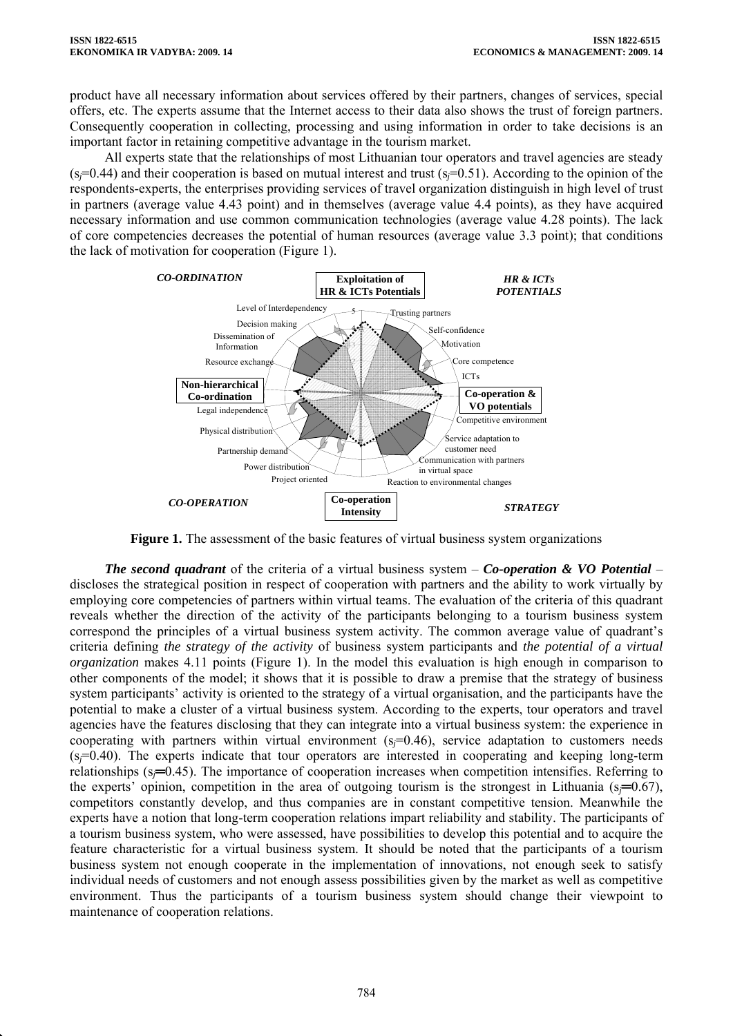product have all necessary information about services offered by their partners, changes of services, special offers, etc. The experts assume that the Internet access to their data also shows the trust of foreign partners. Consequently cooperation in collecting, processing and using information in order to take decisions is an important factor in retaining competitive advantage in the tourism market.

All experts state that the relationships of most Lithuanian tour operators and travel agencies are steady  $(s_f=0.44)$  and their cooperation is based on mutual interest and trust  $(s_f=0.51)$ . According to the opinion of the respondents-experts, the enterprises providing services of travel organization distinguish in high level of trust in partners (average value 4.43 point) and in themselves (average value 4.4 points), as they have acquired necessary information and use common communication technologies (average value 4.28 points). The lack of core competencies decreases the potential of human resources (average value 3.3 point); that conditions the lack of motivation for cooperation (Figure 1).



**Figure 1.** The assessment of the basic features of virtual business system organizations

*The second quadrant* of the criteria of a virtual business system – *Co-operation & VO Potential* – discloses the strategical position in respect of cooperation with partners and the ability to work virtually by employing core competencies of partners within virtual teams. The evaluation of the criteria of this quadrant reveals whether the direction of the activity of the participants belonging to a tourism business system correspond the principles of a virtual business system activity. The common average value of quadrant's criteria defining *the strategy of the activity* of business system participants and *the potential of a virtual organization* makes 4.11 points (Figure 1). In the model this evaluation is high enough in comparison to other components of the model; it shows that it is possible to draw a premise that the strategy of business system participants' activity is oriented to the strategy of a virtual organisation, and the participants have the potential to make a cluster of a virtual business system. According to the experts, tour operators and travel agencies have the features disclosing that they can integrate into a virtual business system: the experience in cooperating with partners within virtual environment  $(s_f=0.46)$ , service adaptation to customers needs (s*j*=0.40). The experts indicate that tour operators are interested in cooperating and keeping long-term relationships (s*j*═0.45). The importance of cooperation increases when competition intensifies. Referring to the experts' opinion, competition in the area of outgoing tourism is the strongest in Lithuania ( $s=0.67$ ), competitors constantly develop, and thus companies are in constant competitive tension. Meanwhile the experts have a notion that long-term cooperation relations impart reliability and stability. The participants of a tourism business system, who were assessed, have possibilities to develop this potential and to acquire the feature characteristic for a virtual business system. It should be noted that the participants of a tourism business system not enough cooperate in the implementation of innovations, not enough seek to satisfy individual needs of customers and not enough assess possibilities given by the market as well as competitive environment. Thus the participants of a tourism business system should change their viewpoint to maintenance of cooperation relations.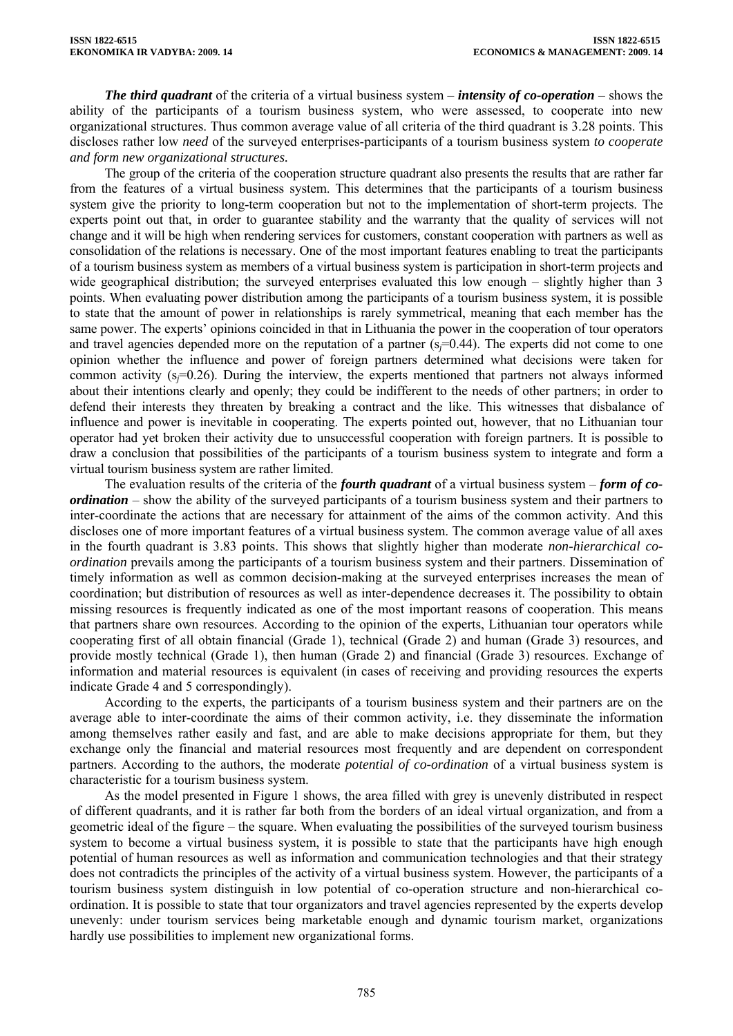*The third quadrant* of the criteria of a virtual business system – *intensity of co-operation* – shows the ability of the participants of a tourism business system, who were assessed, to cooperate into new organizational structures. Thus common average value of all criteria of the third quadrant is 3.28 points. This discloses rather low *need* of the surveyed enterprises-participants of a tourism business system *to cooperate and form new organizational structures.* 

The group of the criteria of the cooperation structure quadrant also presents the results that are rather far from the features of a virtual business system. This determines that the participants of a tourism business system give the priority to long-term cooperation but not to the implementation of short-term projects. The experts point out that, in order to guarantee stability and the warranty that the quality of services will not change and it will be high when rendering services for customers, constant cooperation with partners as well as consolidation of the relations is necessary. One of the most important features enabling to treat the participants of a tourism business system as members of a virtual business system is participation in short-term projects and wide geographical distribution; the surveyed enterprises evaluated this low enough – slightly higher than 3 points. When evaluating power distribution among the participants of a tourism business system, it is possible to state that the amount of power in relationships is rarely symmetrical, meaning that each member has the same power. The experts' opinions coincided in that in Lithuania the power in the cooperation of tour operators and travel agencies depended more on the reputation of a partner ( $s=0.44$ ). The experts did not come to one opinion whether the influence and power of foreign partners determined what decisions were taken for common activity  $(s=0.26)$ . During the interview, the experts mentioned that partners not always informed about their intentions clearly and openly; they could be indifferent to the needs of other partners; in order to defend their interests they threaten by breaking a contract and the like. This witnesses that disbalance of influence and power is inevitable in cooperating. The experts pointed out, however, that no Lithuanian tour operator had yet broken their activity due to unsuccessful cooperation with foreign partners. It is possible to draw a conclusion that possibilities of the participants of a tourism business system to integrate and form a virtual tourism business system are rather limited.

The evaluation results of the criteria of the *fourth quadrant* of a virtual business system – *form of coordination* – show the ability of the surveyed participants of a tourism business system and their partners to inter-coordinate the actions that are necessary for attainment of the aims of the common activity. And this discloses one of more important features of a virtual business system. The common average value of all axes in the fourth quadrant is 3.83 points. This shows that slightly higher than moderate *non-hierarchical coordination* prevails among the participants of a tourism business system and their partners. Dissemination of timely information as well as common decision-making at the surveyed enterprises increases the mean of coordination; but distribution of resources as well as inter-dependence decreases it. The possibility to obtain missing resources is frequently indicated as one of the most important reasons of cooperation. This means that partners share own resources. According to the opinion of the experts, Lithuanian tour operators while cooperating first of all obtain financial (Grade 1), technical (Grade 2) and human (Grade 3) resources, and provide mostly technical (Grade 1), then human (Grade 2) and financial (Grade 3) resources. Exchange of information and material resources is equivalent (in cases of receiving and providing resources the experts indicate Grade 4 and 5 correspondingly).

According to the experts, the participants of a tourism business system and their partners are on the average able to inter-coordinate the aims of their common activity, i.e. they disseminate the information among themselves rather easily and fast, and are able to make decisions appropriate for them, but they exchange only the financial and material resources most frequently and are dependent on correspondent partners. According to the authors, the moderate *potential of co-ordination* of a virtual business system is characteristic for a tourism business system.

As the model presented in Figure 1 shows, the area filled with grey is unevenly distributed in respect of different quadrants, and it is rather far both from the borders of an ideal virtual organization, and from a geometric ideal of the figure – the square. When evaluating the possibilities of the surveyed tourism business system to become a virtual business system, it is possible to state that the participants have high enough potential of human resources as well as information and communication technologies and that their strategy does not contradicts the principles of the activity of a virtual business system. However, the participants of a tourism business system distinguish in low potential of co-operation structure and non-hierarchical coordination. It is possible to state that tour organizators and travel agencies represented by the experts develop unevenly: under tourism services being marketable enough and dynamic tourism market, organizations hardly use possibilities to implement new organizational forms.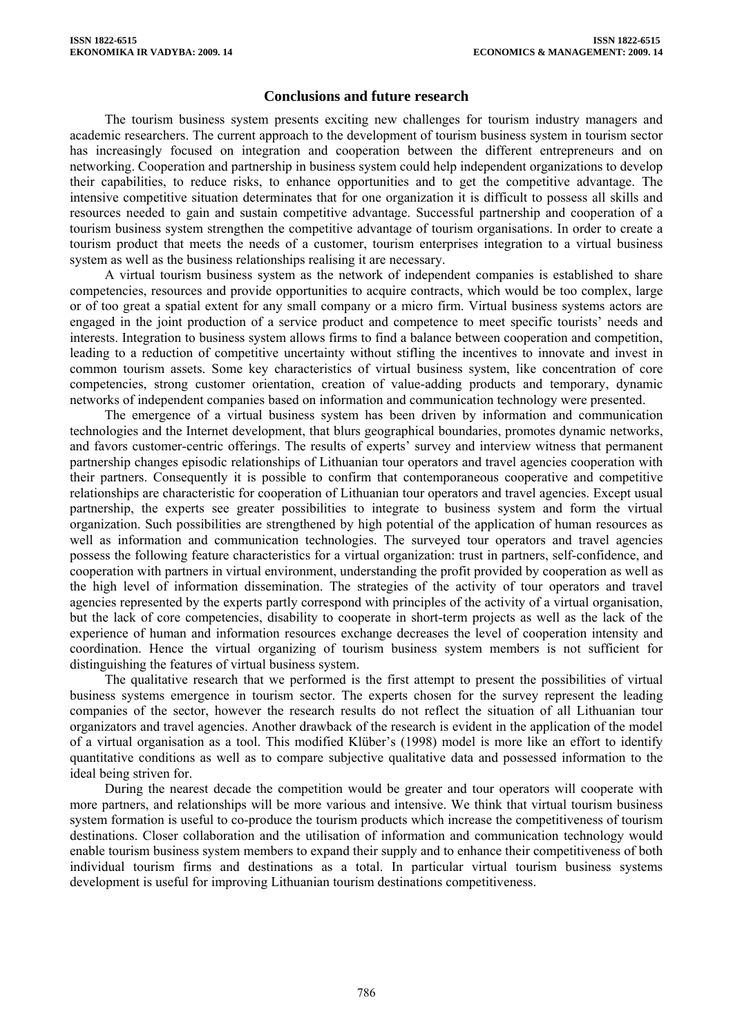## **Conclusions and future research**

The tourism business system presents exciting new challenges for tourism industry managers and academic researchers. The current approach to the development of tourism business system in tourism sector has increasingly focused on integration and cooperation between the different entrepreneurs and on networking. Cooperation and partnership in business system could help independent organizations to develop their capabilities, to reduce risks, to enhance opportunities and to get the competitive advantage. The intensive competitive situation determinates that for one organization it is difficult to possess all skills and resources needed to gain and sustain competitive advantage. Successful partnership and cooperation of a tourism business system strengthen the competitive advantage of tourism organisations. In order to create a tourism product that meets the needs of a customer, tourism enterprises integration to a virtual business system as well as the business relationships realising it are necessary.

A virtual tourism business system as the network of independent companies is established to share competencies, resources and provide opportunities to acquire contracts, which would be too complex, large or of too great a spatial extent for any small company or a micro firm. Virtual business systems actors are engaged in the joint production of a service product and competence to meet specific tourists' needs and interests. Integration to business system allows firms to find a balance between cooperation and competition, leading to a reduction of competitive uncertainty without stifling the incentives to innovate and invest in common tourism assets. Some key characteristics of virtual business system, like concentration of core competencies, strong customer orientation, creation of value-adding products and temporary, dynamic networks of independent companies based on information and communication technology were presented.

The emergence of a virtual business system has been driven by information and communication technologies and the Internet development, that blurs geographical boundaries, promotes dynamic networks, and favors customer-centric offerings. The results of experts' survey and interview witness that permanent partnership changes episodic relationships of Lithuanian tour operators and travel agencies cooperation with their partners. Consequently it is possible to confirm that contemporaneous cooperative and competitive relationships are characteristic for cooperation of Lithuanian tour operators and travel agencies. Except usual partnership, the experts see greater possibilities to integrate to business system and form the virtual organization. Such possibilities are strengthened by high potential of the application of human resources as well as information and communication technologies. The surveyed tour operators and travel agencies possess the following feature characteristics for a virtual organization: trust in partners, self-confidence, and cooperation with partners in virtual environment, understanding the profit provided by cooperation as well as the high level of information dissemination. The strategies of the activity of tour operators and travel agencies represented by the experts partly correspond with principles of the activity of a virtual organisation, but the lack of core competencies, disability to cooperate in short-term projects as well as the lack of the experience of human and information resources exchange decreases the level of cooperation intensity and coordination. Hence the virtual organizing of tourism business system members is not sufficient for distinguishing the features of virtual business system.

The qualitative research that we performed is the first attempt to present the possibilities of virtual business systems emergence in tourism sector. The experts chosen for the survey represent the leading companies of the sector, however the research results do not reflect the situation of all Lithuanian tour organizators and travel agencies. Another drawback of the research is evident in the application of the model of a virtual organisation as a tool. This modified Klüber's (1998) model is more like an effort to identify quantitative conditions as well as to compare subjective qualitative data and possessed information to the ideal being striven for.

During the nearest decade the competition would be greater and tour operators will cooperate with more partners, and relationships will be more various and intensive. We think that virtual tourism business system formation is useful to co-produce the tourism products which increase the competitiveness of tourism destinations. Closer collaboration and the utilisation of information and communication technology would enable tourism business system members to expand their supply and to enhance their competitiveness of both individual tourism firms and destinations as a total. In particular virtual tourism business systems development is useful for improving Lithuanian tourism destinations competitiveness.